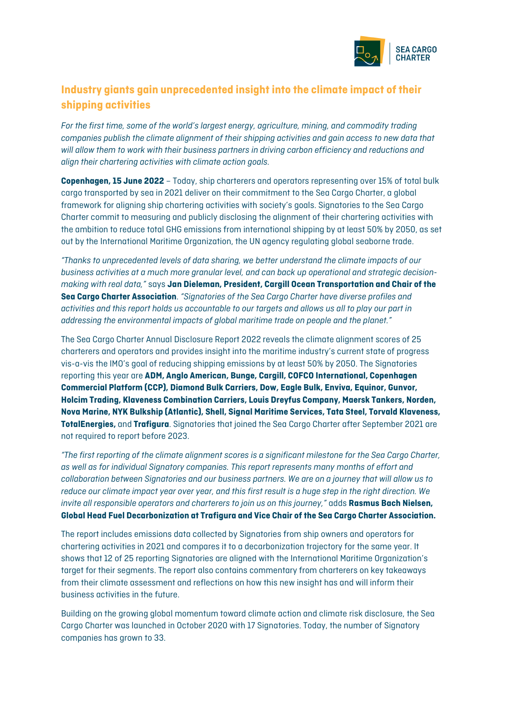

## **Industry giants gain unprecedented insight into the climate impact of their shipping activities**

*For the first time, some of the world's largest energy, agriculture, mining, and commodity trading companies publish the climate alignment of their shipping activities and gain access to new data that will allow them to work with their business partners in driving carbon efficiency and reductions and align their chartering activities with climate action goals.*

**Copenhagen, 15 June 2022** – Today, ship charterers and operators representing over 15% of total bulk cargo transported by sea in 2021 deliver on their commitment to the Sea Cargo Charter, a global framework for aligning ship chartering activities with society's goals. Signatories to the Sea Cargo Charter commit to measuring and publicly disclosing the alignment of their chartering activities with the ambition to reduce total GHG emissions from international shipping by at least 50% by 2050, as set out by the International Maritime Organization, the UN agency regulating global seaborne trade.

*"Thanks to unprecedented levels of data sharing, we better understand the climate impacts of our business activities at a much more granular level, and can back up operational and strategic decisionmaking with real data,"* says **Jan Dieleman, President, Cargill Ocean Transportation and Chair of the Sea Cargo Charter Association**. *"Signatories of the Sea Cargo Charter have diverse profiles and activities and this report holds us accountable to our targets and allows us all to play our part in addressing the environmental impacts of global maritime trade on people and the planet."*

The Sea Cargo Charter Annual Disclosure Report 2022 reveals the climate alignment scores of 25 charterers and operators and provides insight into the maritime industry's current state of progress vis-a-vis the IMO's goal of reducing shipping emissions by at least 50% by 2050. The Signatories reporting this year are **ADM, Anglo American, Bunge, Cargill, COFCO International, Copenhagen Commercial Platform (CCP), Diamond Bulk Carriers, Dow, Eagle Bulk, Enviva, Equinor, Gunvor, Holcim Trading, Klaveness Combination Carriers, Louis Dreyfus Company, Maersk Tankers, Norden, Nova Marine, NYK Bulkship (Atlantic), Shell, Signal Maritime Services, Tata Steel, Torvald Klaveness, TotalEnergies,** and **Trafigura**. Signatories that joined the Sea Cargo Charter after September 2021 are not required to report before 2023.

*"The first reporting of the climate alignment scores is a significant milestone for the Sea Cargo Charter, as well as for individual Signatory companies. This report represents many months of effort and collaboration between Signatories and our business partners. We are on a journey that will allow us to reduce our climate impact year over year, and this first result is a huge step in the right direction. We invite all responsible operators and charterers to join us on this journey,"* adds **Rasmus Bach Nielsen, Global Head Fuel Decarbonization at Trafigura and Vice Chair of the Sea Cargo Charter Association.**

The report includes emissions data collected by Signatories from ship owners and operators for chartering activities in 2021 and compares it to a decarbonization trajectory for the same year. It shows that 12 of 25 reporting Signatories are aligned with the International Maritime Organization's target for their segments. The report also contains commentary from charterers on key takeaways from their climate assessment and reflections on how this new insight has and will inform their business activities in the future.

Building on the growing global momentum toward climate action and climate risk disclosure, the Sea Cargo Charter was launched in October 2020 with 17 Signatories. Today, the number of Signatory companies has grown to 33.